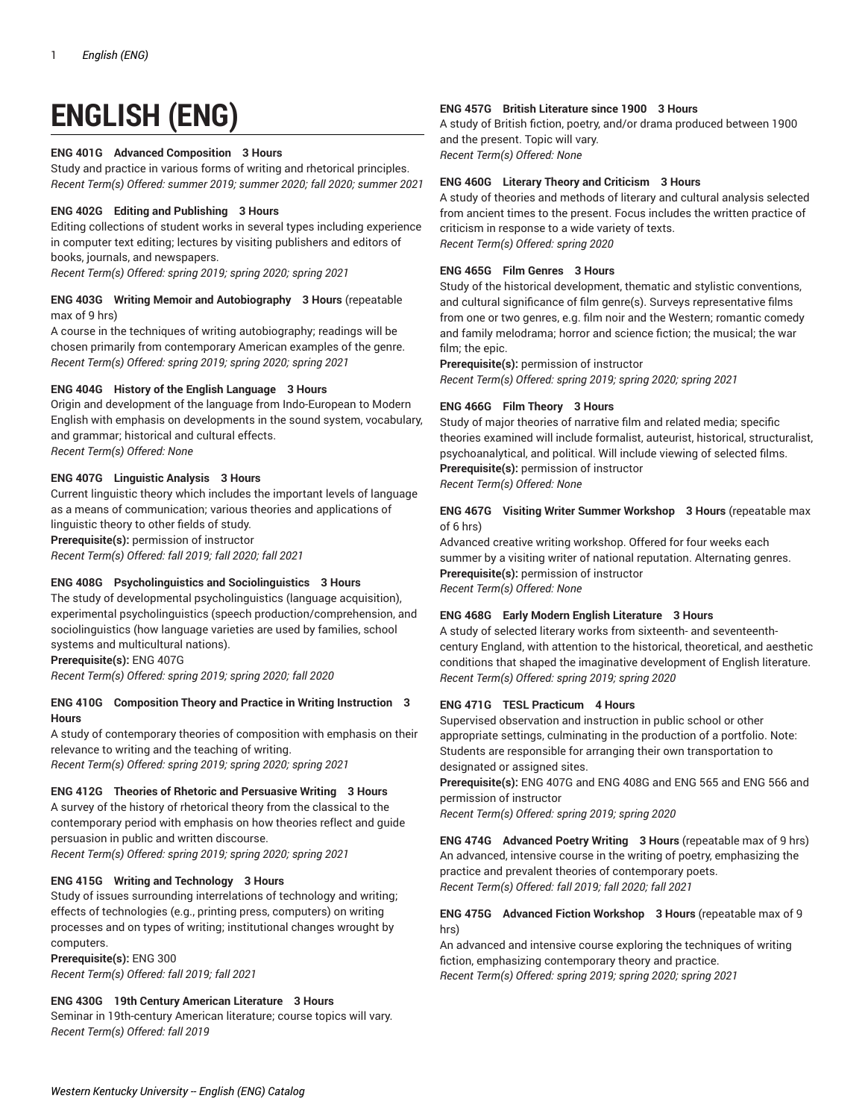# **ENGLISH (ENG)**

# **ENG 401G Advanced Composition 3 Hours**

Study and practice in various forms of writing and rhetorical principles. *Recent Term(s) Offered: summer 2019; summer 2020; fall 2020; summer 2021*

# **ENG 402G Editing and Publishing 3 Hours**

Editing collections of student works in several types including experience in computer text editing; lectures by visiting publishers and editors of books, journals, and newspapers.

*Recent Term(s) Offered: spring 2019; spring 2020; spring 2021*

## **ENG 403G Writing Memoir and Autobiography 3 Hours** (repeatable max of 9 hrs)

A course in the techniques of writing autobiography; readings will be chosen primarily from contemporary American examples of the genre. *Recent Term(s) Offered: spring 2019; spring 2020; spring 2021*

## **ENG 404G History of the English Language 3 Hours**

Origin and development of the language from Indo-European to Modern English with emphasis on developments in the sound system, vocabulary, and grammar; historical and cultural effects. *Recent Term(s) Offered: None*

# **ENG 407G Linguistic Analysis 3 Hours**

Current linguistic theory which includes the important levels of language as a means of communication; various theories and applications of linguistic theory to other fields of study. **Prerequisite(s):** permission of instructor *Recent Term(s) Offered: fall 2019; fall 2020; fall 2021*

## **ENG 408G Psycholinguistics and Sociolinguistics 3 Hours**

The study of developmental psycholinguistics (language acquisition), experimental psycholinguistics (speech production/comprehension, and sociolinguistics (how language varieties are used by families, school systems and multicultural nations).

**Prerequisite(s):** ENG 407G

*Recent Term(s) Offered: spring 2019; spring 2020; fall 2020*

## **ENG 410G Composition Theory and Practice in Writing Instruction 3 Hours**

A study of contemporary theories of composition with emphasis on their relevance to writing and the teaching of writing. *Recent Term(s) Offered: spring 2019; spring 2020; spring 2021*

# **ENG 412G Theories of Rhetoric and Persuasive Writing 3 Hours**

A survey of the history of rhetorical theory from the classical to the contemporary period with emphasis on how theories reflect and guide persuasion in public and written discourse.

*Recent Term(s) Offered: spring 2019; spring 2020; spring 2021*

## **ENG 415G Writing and Technology 3 Hours**

Study of issues surrounding interrelations of technology and writing; effects of technologies (e.g., printing press, computers) on writing processes and on types of writing; institutional changes wrought by computers.

**Prerequisite(s):** ENG 300 *Recent Term(s) Offered: fall 2019; fall 2021*

# **ENG 430G 19th Century American Literature 3 Hours**

Seminar in 19th-century American literature; course topics will vary. *Recent Term(s) Offered: fall 2019*

## **ENG 457G British Literature since 1900 3 Hours**

A study of British fiction, poetry, and/or drama produced between 1900 and the present. Topic will vary. *Recent Term(s) Offered: None*

## **ENG 460G Literary Theory and Criticism 3 Hours**

A study of theories and methods of literary and cultural analysis selected from ancient times to the present. Focus includes the written practice of criticism in response to a wide variety of texts. *Recent Term(s) Offered: spring 2020*

## **ENG 465G Film Genres 3 Hours**

Study of the historical development, thematic and stylistic conventions, and cultural significance of film genre(s). Surveys representative films from one or two genres, e.g. film noir and the Western; romantic comedy and family melodrama; horror and science fiction; the musical; the war film; the epic.

**Prerequisite(s):** permission of instructor *Recent Term(s) Offered: spring 2019; spring 2020; spring 2021*

# **ENG 466G Film Theory 3 Hours**

Study of major theories of narrative film and related media; specific theories examined will include formalist, auteurist, historical, structuralist, psychoanalytical, and political. Will include viewing of selected films. **Prerequisite(s):** permission of instructor

*Recent Term(s) Offered: None*

# **ENG 467G Visiting Writer Summer Workshop 3 Hours** (repeatable max of 6 hrs)

Advanced creative writing workshop. Offered for four weeks each summer by a visiting writer of national reputation. Alternating genres. **Prerequisite(s):** permission of instructor *Recent Term(s) Offered: None*

## **ENG 468G Early Modern English Literature 3 Hours**

A study of selected literary works from sixteenth- and seventeenthcentury England, with attention to the historical, theoretical, and aesthetic conditions that shaped the imaginative development of English literature. *Recent Term(s) Offered: spring 2019; spring 2020*

## **ENG 471G TESL Practicum 4 Hours**

Supervised observation and instruction in public school or other appropriate settings, culminating in the production of a portfolio. Note: Students are responsible for arranging their own transportation to designated or assigned sites.

**Prerequisite(s):** ENG 407G and ENG 408G and ENG 565 and ENG 566 and permission of instructor *Recent Term(s) Offered: spring 2019; spring 2020*

**ENG 474G Advanced Poetry Writing 3 Hours** (repeatable max of 9 hrs) An advanced, intensive course in the writing of poetry, emphasizing the practice and prevalent theories of contemporary poets. *Recent Term(s) Offered: fall 2019; fall 2020; fall 2021*

## **ENG 475G Advanced Fiction Workshop 3 Hours** (repeatable max of 9 hrs)

An advanced and intensive course exploring the techniques of writing fiction, emphasizing contemporary theory and practice. *Recent Term(s) Offered: spring 2019; spring 2020; spring 2021*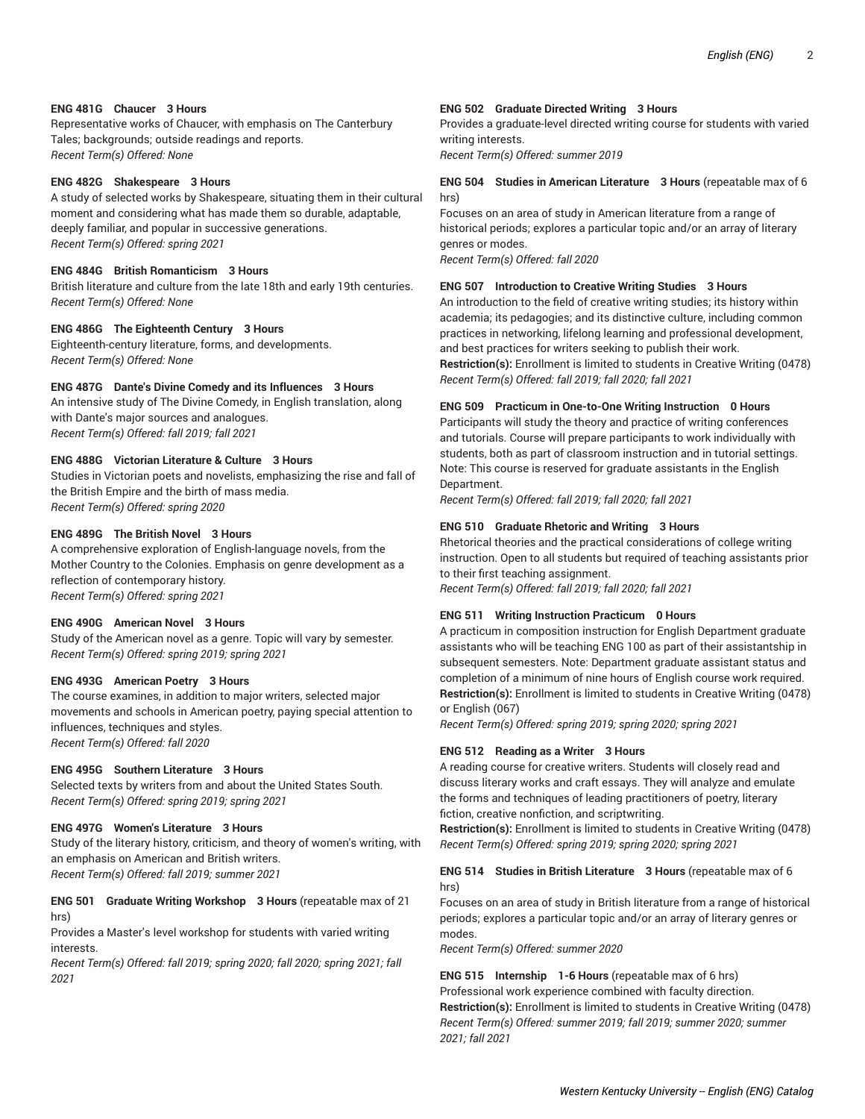# **ENG 481G Chaucer 3 Hours**

Representative works of Chaucer, with emphasis on The Canterbury Tales; backgrounds; outside readings and reports. *Recent Term(s) Offered: None*

## **ENG 482G Shakespeare 3 Hours**

A study of selected works by Shakespeare, situating them in their cultural moment and considering what has made them so durable, adaptable, deeply familiar, and popular in successive generations. *Recent Term(s) Offered: spring 2021*

#### **ENG 484G British Romanticism 3 Hours**

British literature and culture from the late 18th and early 19th centuries. *Recent Term(s) Offered: None*

#### **ENG 486G The Eighteenth Century 3 Hours**

Eighteenth-century literature, forms, and developments. *Recent Term(s) Offered: None*

#### **ENG 487G Dante's Divine Comedy and its Influences 3 Hours**

An intensive study of The Divine Comedy, in English translation, along with Dante's major sources and analogues. *Recent Term(s) Offered: fall 2019; fall 2021*

## **ENG 488G Victorian Literature & Culture 3 Hours**

Studies in Victorian poets and novelists, emphasizing the rise and fall of the British Empire and the birth of mass media. *Recent Term(s) Offered: spring 2020*

## **ENG 489G The British Novel 3 Hours**

A comprehensive exploration of English-language novels, from the Mother Country to the Colonies. Emphasis on genre development as a reflection of contemporary history. *Recent Term(s) Offered: spring 2021*

## **ENG 490G American Novel 3 Hours**

Study of the American novel as a genre. Topic will vary by semester. *Recent Term(s) Offered: spring 2019; spring 2021*

## **ENG 493G American Poetry 3 Hours**

The course examines, in addition to major writers, selected major movements and schools in American poetry, paying special attention to influences, techniques and styles. *Recent Term(s) Offered: fall 2020*

## **ENG 495G Southern Literature 3 Hours**

Selected texts by writers from and about the United States South. *Recent Term(s) Offered: spring 2019; spring 2021*

## **ENG 497G Women's Literature 3 Hours**

Study of the literary history, criticism, and theory of women's writing, with an emphasis on American and British writers. *Recent Term(s) Offered: fall 2019; summer 2021*

## **ENG 501 Graduate Writing Workshop 3 Hours** (repeatable max of 21 hrs)

Provides a Master's level workshop for students with varied writing interests.

*Recent Term(s) Offered: fall 2019; spring 2020; fall 2020; spring 2021; fall 2021*

#### **ENG 502 Graduate Directed Writing 3 Hours**

Provides a graduate-level directed writing course for students with varied writing interests.

*Recent Term(s) Offered: summer 2019*

## **ENG 504 Studies in American Literature 3 Hours** (repeatable max of 6 hrs)

Focuses on an area of study in American literature from a range of historical periods; explores a particular topic and/or an array of literary genres or modes. *Recent Term(s) Offered: fall 2020*

## **ENG 507 Introduction to Creative Writing Studies 3 Hours**

An introduction to the field of creative writing studies; its history within academia; its pedagogies; and its distinctive culture, including common practices in networking, lifelong learning and professional development, and best practices for writers seeking to publish their work. **Restriction(s):** Enrollment is limited to students in Creative Writing (0478) *Recent Term(s) Offered: fall 2019; fall 2020; fall 2021*

#### **ENG 509 Practicum in One-to-One Writing Instruction 0 Hours**

Participants will study the theory and practice of writing conferences and tutorials. Course will prepare participants to work individually with students, both as part of classroom instruction and in tutorial settings. Note: This course is reserved for graduate assistants in the English Department.

*Recent Term(s) Offered: fall 2019; fall 2020; fall 2021*

## **ENG 510 Graduate Rhetoric and Writing 3 Hours**

Rhetorical theories and the practical considerations of college writing instruction. Open to all students but required of teaching assistants prior to their first teaching assignment.

*Recent Term(s) Offered: fall 2019; fall 2020; fall 2021*

## **ENG 511 Writing Instruction Practicum 0 Hours**

A practicum in composition instruction for English Department graduate assistants who will be teaching ENG 100 as part of their assistantship in subsequent semesters. Note: Department graduate assistant status and completion of a minimum of nine hours of English course work required. **Restriction(s):** Enrollment is limited to students in Creative Writing (0478) or English (067)

*Recent Term(s) Offered: spring 2019; spring 2020; spring 2021*

#### **ENG 512 Reading as a Writer 3 Hours**

A reading course for creative writers. Students will closely read and discuss literary works and craft essays. They will analyze and emulate the forms and techniques of leading practitioners of poetry, literary fiction, creative nonfiction, and scriptwriting.

**Restriction(s):** Enrollment is limited to students in Creative Writing (0478) *Recent Term(s) Offered: spring 2019; spring 2020; spring 2021*

# **ENG 514 Studies in British Literature 3 Hours** (repeatable max of 6 hrs)

Focuses on an area of study in British literature from a range of historical periods; explores a particular topic and/or an array of literary genres or modes.

*Recent Term(s) Offered: summer 2020*

**ENG 515 Internship 1-6 Hours** (repeatable max of 6 hrs) Professional work experience combined with faculty direction. **Restriction(s):** Enrollment is limited to students in Creative Writing (0478) *Recent Term(s) Offered: summer 2019; fall 2019; summer 2020; summer 2021; fall 2021*